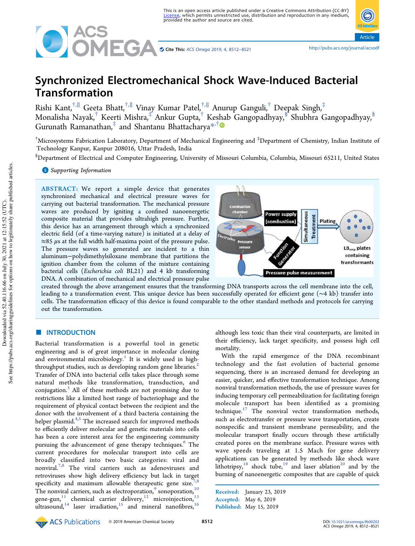

Article

# Synchronized Electromechanical Shock Wave-Induced Bacterial Transformation

Rishi Kant,<sup>†,∥</sup> Geeta Bhatt,<sup>†,∥</sup> Vinay Kumar Patel,<sup>†,∥</sup> Anurup Ganguli,<sup>†</sup> Deepak Singh,<sup>‡</sup> Monalisha Nayak,<sup>†</sup> Keerti Mishra,‡ Ankur Gupta,† Keshab Gangopadhyay,<sup>§</sup> Shubhra Gangopadhyay,<sup>§</sup> Gurunath Ramanathan,<sup>‡</sup> and Shantanu Bhattacharya<sup>\*,†</sup>

 $^\dagger$ Microsystems Fabrication Laboratory, Department of Mechanical Engineering and  $^\ddagger$ Department of Chemistry, Indian Institute of Technology Kanpur, Kanpur 208016, Uttar Pradesh, India

§Department of Electrical and Computer Engineering, University of Missouri Columbia, Columbia, Missouri 65211, United States

# **S** Supporting Information

ABSTRACT: We report a simple device that generates synchronized mechanical and electrical pressure waves for carrying out bacterial transformation. The mechanical pressure waves are produced by igniting a confined nanoenergetic composite material that provides ultrahigh pressure. Further, this device has an arrangement through which a synchronized electric field (of a time-varying nature) is initiated at a delay of  $\approx$ 85  $\mu$ s at the full width half-maxima point of the pressure pulse. The pressure waves so generated are incident to a thin aluminum−polydimethylsiloxane membrane that partitions the ignition chamber from the column of the mixture containing bacterial cells (*Escherichia coli* BL21) and 4 kb transforming DNA. A combination of mechanical and electrical pressure pulse



created through the above arrangement ensures that the transforming DNA transports across the cell membrane into the cell, leading to a transformation event. This unique device has been successfully operated for efficient gene (∼4 kb) transfer into cells. The transformation efficacy of this device is found comparable to the other standard methods and protocols for carrying out the transformation.

#### **ENTRODUCTION**

Bacterial transformation is a powerful tool in genetic engineering and is of great importance in molecular cloning and environmental microbiology.<sup>1</sup> It is widely used in highthroughput studies, such as developing random gene libraries.<sup>2</sup> Transfer of DNA into bacterial cells takes place through some natural methods like transformation, transduction, and conjugation.<sup>3</sup> All of these methods are not promising due to restrictions like a limited host range of bacteriophage and the requirement of physical contact between the recipient and the donor with the involvement of a third bacteria containing the helper plasmid.<sup>4,5</sup> The increased search for improved methods to efficiently deliver molecular and genetic materials into cells has been a core interest area for the engineering community pursuing the advancement of gene therapy techniques.<sup>6</sup> The current procedures for molecular transport into cells are broadly classified into two basic categories: viral and nonviral.7,8 The viral carriers such as adenoviruses and retroviruses show high delivery efficiency but lack in target specificity and maximum allowable therapeutic gene size.<sup>7</sup>, The nonviral carriers, such as electroporation,  $9$  sonoporation,  $10$ gene-gun,  $11$  chemical carrier delivery,  $12$  microinjection,  $13$ ultrasound,<sup>14</sup> laser irradiation,<sup>15</sup> and mineral nanofibres,<sup>16</sup>

although less toxic than their viral counterparts, are limited in their efficiency, lack target specificity, and possess high cell mortality.

With the rapid emergence of the DNA recombinant technology and the fast evolution of bacterial genome sequencing, there is an increased demand for developing an easier, quicker, and effective transformation technique. Among nonviral transformation methods, the use of pressure waves for inducing temporary cell permeabilization for facilitating foreign molecule transport has been identified as a promising technique. $17$  The nonviral vector transformation methods, such as electrotransfer or pressure wave transportation, create nonspecific and transient membrane permeability, and the molecular transport finally occurs through these artificially created pores on the membrane surface. Pressure waves with wave speeds traveling at 1.5 Mach for gene delivery applications can be generated by methods like shock wave lithotripsy,<sup>18</sup> shock tube,<sup>19</sup> and laser ablation<sup>20</sup> and by the burning of nanoenergetic composites that are capable of quick

Received: January 23, 2019 Accepted: May 6, 2019 Published: May 15, 2019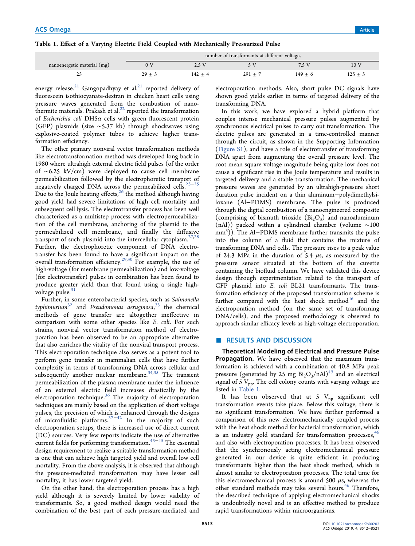# Table 1. Effect of a Varying Electric Field Coupled with Mechanically Pressurized Pulse

|                             | number of transformants at different voltages |             |             |           |             |  |
|-----------------------------|-----------------------------------------------|-------------|-------------|-----------|-------------|--|
| nanoenergetic material (mg) |                                               | 2.5 V       |             |           | 10 V        |  |
| دے                          |                                               | $142 \pm 4$ | $291 \pm 7$ | $149 + 6$ | $125 \pm 5$ |  |

energy release.<sup>21</sup> Gangopadhyay et al.<sup>21</sup> reported delivery of fluorescein isothiocyanate-dextran in chicken heart cells using pressure waves generated from the combustion of nanothermite materials. Prakash et al. $^{22}$  reported the transformation of *Escherichia coli* DH5α cells with green fluorescent protein (GFP) plasmids (size ∼5.37 kb) through shockwaves using explosive-coated polymer tubes to achieve higher transformation efficiency.

The other primary nonviral vector transformation methods like electrotransformation method was developed long back in 1980 where ultrahigh external electric field pulses (of the order of ∼6.25 kV/cm) were deployed to cause cell membrane permeabilization followed by the electrophoretic transport of negatively charged DNA across the permeabilized cells.<sup>23-25</sup> Due to the Joule heating effects,<sup>26</sup> the method although having good yield had severe limitations of high cell mortality and subsequent cell lysis. The electrotransfer process has been well characterized as a multistep process with electropermeabilization of the cell membrane, anchoring of the plasmid to the permeabilized cell membrane, and finally the diffusive transport of such plasmid into the intercellular cytoplasm.<sup>27,28</sup> Further, the electrophoretic component of DNA electrotransfer has been found to have a significant impact on the overall transformation efficiency.<sup>29,30</sup> For example, the use of high-voltage (for membrane permeabilization) and low-voltage (for electrotransfer) pulses in combination has been found to produce greater yield than that found using a single highvoltage pulse. $3$ 

Further, in some enterobacterial species, such as *Salmonella typhimurium*<sup>32</sup> and *Pseudomonas aeruginosa*, <sup>33</sup> the chemical methods of gene transfer are altogether ineffective in comparison with some other species like *E. coli*. For such strains, nonviral vector transformation method of electroporation has been observed to be an appropriate alternative that also enriches the vitality of the nonviral transport process. This electroporation technique also serves as a potent tool to perform gene transfer in mammalian cells that have further complexity in terms of transforming DNA across cellular and subsequently another nuclear membrane.<sup>34,35</sup> The transient permeabilization of the plasma membrane under the influence of an external electric field increases drastically by the electroporation technique.<sup>36</sup> The majority of electroporation techniques are mainly based on the application of short voltage pulses, the precision of which is enhanced through the designs of microfluidic platforms. $37-42$  In the majority of such electroporation setups, there is increased use of direct current (DC) sources. Very few reports indicate the use of alternative current fields for performing transformation.43−<sup>45</sup> The essential design requirement to realize a suitable transformation method is one that can achieve high targeted yield and overall low cell mortality. From the above analysis, it is observed that although the pressure-mediated transformation may have lesser cell mortality, it has lower targeted yield.

On the other hand, the electroporation process has a high yield although it is severely limited by lower viability of transformants. So, a good method design would need the combination of the best part of each pressure-mediated and

electroporation methods. Also, short pulse DC signals have shown good yields earlier in terms of targeted delivery of the transforming DNA.

In this work, we have explored a hybrid platform that couples intense mechanical pressure pulses augmented by synchronous electrical pulses to carry out transformation. The electric pulses are generated in a time-controlled manner through the circuit, as shown in the Supporting Information (Figure S1), and have a role of electrotransfer of transforming DNA apart from augmenting the overall pressure level. The root mean square voltage magnitude being quite low does not cause a significant rise in the Joule temperature and results in targeted delivery and a stable transformation. The mechanical pressure waves are generated by an ultrahigh-pressure short duration pulse incident on a thin aluminum−polydimethylsiloxane (Al−PDMS) membrane. The pulse is produced through the digital combustion of a nanoengineered composite (comprising of bismuth trioxide  $(Bi_2O_3)$  and nanoaluminum (nAl)) packed within a cylindrical chamber (volume ∼100 mm<sup>3</sup>)). The Al−PDMS membrane further transmits the pulse into the column of a fluid that contains the mixture of transforming DNA and cells. The pressure rises to a peak value of 24.3 MPa in the duration of 5.4  $\mu$ s, as measured by the pressure sensor situated at the bottom of the cuvette containing the biofluid column. We have validated this device design through experimentation related to the transport of GFP plasmid into *E. coli* BL21 transformants. The transformation efficiency of the proposed transformation scheme is further compared with the heat shock method $46$  and the electroporation method (on the same set of transforming DNA/cells), and the proposed methodology is observed to approach similar efficacy levels as high-voltage electroporation.

#### ■ RESULTS AND DISCUSSION

Theoretical Modeling of Electrical and Pressure Pulse Propagation. We have observed that the maximum transformation is achieved with a combination of 40.8 MPa peak pressure (generated by 25 mg  $Bi<sub>2</sub>O<sub>3</sub>/nAl)<sup>49</sup>$  and an electrical signal of 5  $V_{pp}$ . The cell colony counts with varying voltage are listed in Table 1.

It has been observed that at 5  $V_{pp}$  significant cell transformation events take place. Below this voltage, there is no significant transformation. We have further performed a comparison of this new electromechanically coupled process with the heat shock method for bacterial transformation, which is an industry gold standard for transformation processes,  $46$ and also with electroporation processes. It has been observed that the synchronously acting electromechanical pressure generated in our device is quite efficient in producing transformants higher than the heat shock method, which is almost similar to electroporation processes. The total time for this electromechanical process is around 500  $\mu$ s, whereas the other standard methods may take several hours.<sup>46</sup> Therefore, the described technique of applying electromechanical shocks is undoubtedly novel and is an effective method to produce rapid transformations within microorganisms.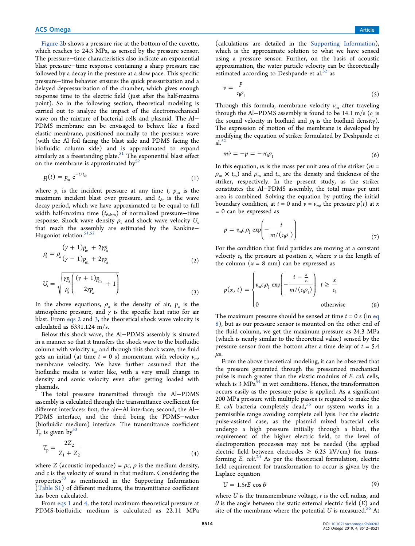Figure 2b shows a pressure rise at the bottom of the cuvette, which reaches to 24.3 MPa, as sensed by the pressure sensor. The pressure−time characteristics also indicate an exponential blast pressure−time response containing a sharp pressure rise followed by a decay in the pressure at a slow pace. This specific pressure−time behavior ensures the quick pressurization and a delayed depressurization of the chamber, which gives enough response time to the electric field (just after the half-maxima point). So in the following section, theoretical modeling is carried out to analyze the impact of the electromechanical wave on the mixture of bacterial cells and plasmid. The Al− PDMS membrane can be envisaged to behave like a fixed elastic membrane, positioned normally to the pressure wave (with the Al foil facing the blast side and PDMS facing the biofluidic column side) and is approximated to expand similarly as a freestanding plate.<sup>51</sup> The exponential blast effect on the membrane is approximated by $52$ 

$$
p_{\rm i}(t) = p_{\rm m} \; \mathrm{e}^{-t/t_{\rm dr}} \tag{1}
$$

where  $p_i$  is the incident pressure at any time  $t$ ,  $p_m$  is the maximum incident blast over pressure, and  $t_{dt}$  is the wave decay period, which we have approximated to be equal to full width half-maxima time ( $t$ <sub>fwhm</sub>) of normalized pressure−time response. Shock wave density  $\rho_s$  and shock wave velocity  $U_s$ that reach the assembly are estimated by the Rankine− Hugoniot relation.<sup>51,52</sup>

$$
\rho_{\rm s} = \rho_{\rm a} \frac{(\gamma + 1)p_{\rm m} + 2\gamma p_{\rm a}}{(\gamma - 1)p_{\rm m} + 2\gamma p_{\rm a}}
$$
\n(2)

$$
U_{\rm s} = \sqrt{\frac{\gamma p_{\rm a}}{\rho_{\rm a}} \left( \frac{(\gamma + 1)p_{\rm m}}{2\gamma p_{\rm a}} + 1 \right)}
$$
(3)

In the above equations,  $\rho_a$  is the density of air,  $p_a$  is the atmospheric pressure, and  $\gamma$  is the specific heat ratio for air blast. From eqs 2 and 3, the theoretical shock wave velocity is calculated as 6331.124 m/s.

Below this shock wave, the Al−PDMS assembly is situated in a manner so that it transfers the shock wave to the biofluidic column with velocity  $v_m$  and through this shock wave, the fluid gets an initial (at time  $t = 0$  s) momentum with velocity  $v_m$ , membrane velocity. We have further assumed that the biofluidic media is water like, with a very small change in density and sonic velocity even after getting loaded with plasmids.

The total pressure transmitted through the Al−PDMS assembly is calculated through the transmittance coefficient for different interfaces: first, the air−Al interface; second, the Al− PDMS interface, and the third being the PDMS−water (biofluidic medium) interface. The transmittance coefficient  $T_p$  is given by<sup>53</sup>

$$
T_{\rm p} = \frac{2Z_2}{Z_1 + Z_2} \tag{4}
$$

where *Z* (acoustic impedance) =  $\rho c$ ,  $\rho$  is the medium density, and *c* is the velocity of sound in that medium. Considering the properties<sup>53</sup> as mentioned in the Supporting Information (Table S1) of different mediums, the transmittance coefficient has been calculated.

From eqs 1 and 4, the total maximum theoretical pressure at PDMS-biofluidic medium is calculated as 22.11 MPa

(calculations are detailed in the Supporting Information), which is the approximate solution to what we have sensed using a pressure sensor. Further, on the basis of acoustic approximation, the water particle velocity can be theoretically estimated according to Deshpande et al.<sup>52</sup> as

$$
v = \frac{p}{c_1 \rho_1} \tag{5}
$$

Through this formula, membrane velocity  $v_m$  after traveling through the Al–PDMS assembly is found to be 14.1 m/s  $(c<sub>l</sub>$  is the sound velocity in biofluid and  $\rho_1$  is the biofluid density). The expression of motion of the membrane is developed by modifying the equation of striker formulated by Deshpande et al. $52$ 

$$
m\dot{v} = -p = -vc_j\rho_1\tag{6}
$$

In this equation, *m* is the mass per unit area of the striker (*m* =  $\rho_{\rm m} \times t_{\rm m}$ ) and  $\rho_{\rm m}$  and  $t_{\rm m}$  are the density and thickness of the striker, respectively. In the present study, as the striker constitutes the Al−PDMS assembly, the total mass per unit area is combined. Solving the equation by putting the initial boundary condition, at  $t = 0$  and  $v = v_{\text{m}}$ , the pressure  $p(t)$  at *x* = 0 can be expressed as

$$
p = v_{\rm m}c\rho_1 \exp\left(-\frac{t}{m/(c\rho_1)}\right) \tag{7}
$$

For the condition that fluid particles are moving at a constant velocity  $c_{\rm p}$  the pressure at position *x*, where *x* is the length of the column  $(x = 8$  mm) can be expressed as

$$
p(x, t) = \begin{cases} v_{\text{m}}c_{\text{p}} \rho_1 \exp\left(-\frac{t - \frac{x}{c_{\text{r}}}}{m/(c_{\text{p}})}\right) & t \ge \frac{x}{c_1} \\ 0 & \text{otherwise} \end{cases} \tag{8}
$$

The maximum pressure should be sensed at time *t =* 0 s (in eq 8), but as our pressure sensor is mounted on the other end of the fluid column, we get the maximum pressure as 24.3 MPa (which is nearly similar to the theoretical value) sensed by the pressure sensor from the bottom after a time delay of *t* = 5.4  $\mu$ s.

From the above theoretical modeling, it can be observed that the pressure generated through the pressurized mechanical pulse is much greater than the elastic modulus of *E. coli* cells, which is 3  $MPa^{54}$  in wet conditions. Hence, the transformation occurs easily as the pressure pulse is applied. As a significant 200 MPa pressure with multiple passes is required to make the *E. coli* bacteria completely dead,<sup>55</sup> our system works in a permissible range avoiding complete cell lysis. For the electric pulse-assisted case, as the plasmid mixed bacterial cells undergo a high pressure initially through a blast, the requirement of the higher electric field, to the level of electroporation processes may not be needed (the applied electric field between electrodes  $\geq$  6.25 kV/cm) for transforming *E. coli.*<sup>24</sup> As per the theoretical formulation, electric field requirement for transformation to occur is given by the Laplace equation

$$
U = 1.5rE \cos \theta \tag{9}
$$

where *U* is the transmembrane voltage, *r* is the cell radius, and  $\theta$  is the angle between the static external electric field  $(E)$  and site of the membrane where the potential  $U$  is measured.<sup>56</sup> At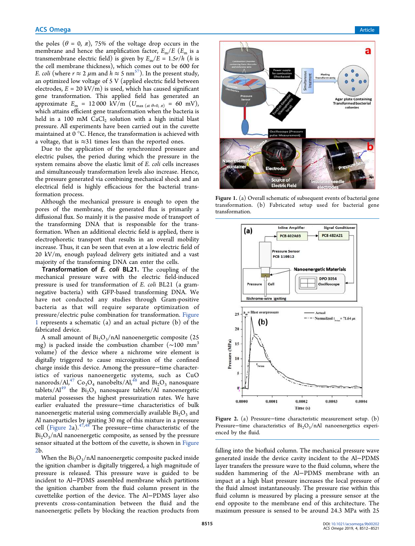the poles ( $\theta = 0, \pi$ ), 75% of the voltage drop occurs in the membrane and hence the amplification factor,  $E_m/E$  ( $E_m$  is a transmembrane electric field) is given by  $E_m/E = 1.5r/h$  (*h* is the cell membrane thickness), which comes out to be 600 for *E. coli* (where  $r \approx 2 \mu m$  and  $h \approx 5 \text{ nm}^{57}$ ). In the present study, an optimized low voltage of 5 V (applied electric field between electrodes,  $E = 20 \text{ kV/m}$  is used, which has caused significant gene transformation. This applied field has generated an approximate  $E_m = 12000 \text{ kV/m } (U_{\text{max (at } \theta=0, \pi}) = 60 \text{ mV}),$ which attains efficient gene transformation when the bacteria is held in a 100 mM  $\rm CaCl_2$  solution with a high initial blast pressure. All experiments have been carried out in the cuvette maintained at 0 °C. Hence, the transformation is achieved with a voltage, that is ≈31 times less than the reported ones.

Due to the application of the synchronized pressure and electric pulses, the period during which the pressure in the system remains above the elastic limit of *E. coli* cells increases and simultaneously transformation levels also increase. Hence, the pressure generated via combining mechanical shock and an electrical field is highly efficacious for the bacterial transformation process.

Although the mechanical pressure is enough to open the pores of the membrane, the generated flux is primarily a diffusional flux. So mainly it is the passive mode of transport of the transforming DNA that is responsible for the transformation. When an additional electric field is applied, there is electrophoretic transport that results in an overall mobility increase. Thus, it can be seen that even at a low electric field of 20 kV/m, enough payload delivery gets initiated and a vast majority of the transforming DNA can enter the cells.

Transformation of E. coli BL21. The coupling of the mechanical pressure wave with the electric field-induced pressure is used for transformation of *E. coli* BL21 (a gramnegative bacteria) with GFP-based transforming DNA. We have not conducted any studies through Gram-positive bacteria as that will require separate optimization of pressure/electric pulse combination for transformation. Figure 1 represents a schematic (a) and an actual picture (b) of the fabricated device.

A small amount of  $Bi<sub>2</sub>O<sub>3</sub>/nAl$  nanoenergetic composite (25 mg) is packed inside the combustion chamber (∼100 mm<sup>3</sup> volume) of the device where a nichrome wire element is digitally triggered to cause microignition of the confined charge inside this device. Among the pressure−time characteristics of various nanoenergetic systems, such as CuO nanorods/Al,<sup>47</sup> Co<sub>3</sub>O<sub>4</sub> nanobelts/Al,<sup>48</sup> and  $\overline{\mathrm{Bi}}_2\mathrm{O}_3$  nanosquare tablets/ $Al^{49}$  the  $Bi_2O_3$  nanosquare tablets/Al nanoenergetic material possesses the highest pressurization rates. We have earlier evaluated the pressure−time characteristics of bulk nanoenergetic material using commercially available  $Bi<sub>2</sub>O<sub>3</sub>$  and Al nanoparticles by igniting 30 mg of this mixture in a pressure cell (Figure 2a).47,48 The pressure−time characteristic of the  $Bi<sub>2</sub>O<sub>3</sub>/nAl$  nanoenergetic composite, as sensed by the pressure sensor situated at the bottom of the cuvette, is shown in Figure 2b.

When the  $Bi<sub>2</sub>O<sub>3</sub>/nAl$  nanoenergetic composite packed inside the ignition chamber is digitally triggered, a high magnitude of pressure is released. This pressure wave is guided to be incident to Al−PDMS assembled membrane which partitions the ignition chamber from the fluid column present in the cuvettelike portion of the device. The Al−PDMS layer also prevents cross-contamination between the fluid and the nanoenergetic pellets by blocking the reaction products from



Figure 1. (a) Overall schematic of subsequent events of bacterial gene transformation. (b) Fabricated setup used for bacterial gene transformation.



Figure 2. (a) Pressure−time characteristic measurement setup. (b) Pressure–time characteristics of  $Bi<sub>2</sub>O<sub>3</sub>/nAl$  nanoenergetics experienced by the fluid.

falling into the biofluid column. The mechanical pressure wave generated inside the device cavity incident to the Al−PDMS layer transfers the pressure wave to the fluid column, where the sudden hammering of the Al−PDMS membrane with an impact at a high blast pressure increases the local pressure of the fluid almost instantaneously. The pressure rise within this fluid column is measured by placing a pressure sensor at the end opposite to the membrane end of this architecture. The maximum pressure is sensed to be around 24.3 MPa with 25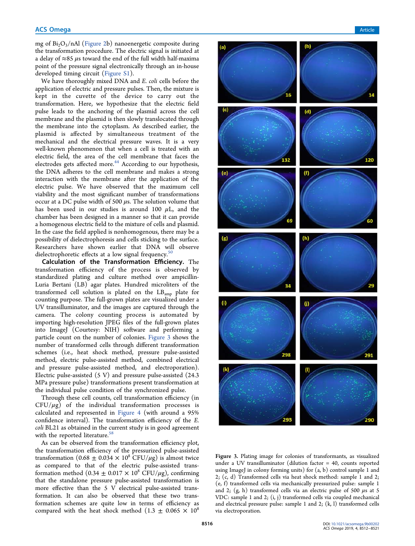mg of  $Bi_2O_3/nAl$  (Figure 2b) nanoenergetic composite during the transformation procedure. The electric signal is initiated at a delay of  $\approx$ 85  $\mu$ s toward the end of the full width half-maxima point of the pressure signal electronically through an in-house developed timing circuit (Figure S1).

We have thoroughly mixed DNA and *E. coli* cells before the application of electric and pressure pulses. Then, the mixture is kept in the cuvette of the device to carry out the transformation. Here, we hypothesize that the electric field pulse leads to the anchoring of the plasmid across the cell membrane and the plasmid is then slowly translocated through the membrane into the cytoplasm. As described earlier, the plasmid is affected by simultaneous treatment of the mechanical and the electrical pressure waves. It is a very well-known phenomenon that when a cell is treated with an electric field, the area of the cell membrane that faces the electrodes gets affected more.<sup>44</sup> According to our hypothesis, the DNA adheres to the cell membrane and makes a strong interaction with the membrane after the application of the electric pulse. We have observed that the maximum cell viability and the most significant number of transformations occur at a DC pulse width of 500  $\mu$ s. The solution volume that has been used in our studies is around 100  $\mu$ L, and the chamber has been designed in a manner so that it can provide a homogenous electric field to the mixture of cells and plasmid. In the case the field applied is nonhomogenous, there may be a possibility of dielectrophoresis and cells sticking to the surface. Researchers have shown earlier that DNA will observe dielectrophoretic effects at a low signal frequency.<sup>50</sup>

Calculation of the Transformation Efficiency. The transformation efficiency of the process is observed by standardized plating and culture method over ampicillin-Luria Bertani (LB) agar plates. Hundred microliters of the transformed cell solution is plated on the  $LB_{amp}$  plate for counting purpose. The full-grown plates are visualized under a UV transilluminator, and the images are captured through the camera. The colony counting process is automated by importing high-resolution JPEG files of the full-grown plates into ImageJ (Courtesy: NIH) software and performing a particle count on the number of colonies. Figure 3 shows the number of transformed cells through different transformation schemes (i.e., heat shock method, pressure pulse-assisted method, electric pulse-assisted method, combined electrical and pressure pulse-assisted method, and electroporation). Electric pulse-assisted (5 V) and pressure pulse-assisted (24.3 MPa pressure pulse) transformations present transformation at the individual pulse condition of the synchronized pulse.

Through these cell counts, cell transformation efficiency (in  $CFU/\mu$ g) of the individual transformation processes is calculated and represented in Figure 4 (with around a 95% confidence interval). The transformation efficiency of the *E. coli* BL21 as obtained in the current study is in good agreement with the reported literature. $58$ 

As can be observed from the transformation efficiency plot, the transformation efficiency of the pressurized pulse-assisted transformation  $(0.68 \pm 0.034 \times 10^8 \text{ CFU}/\mu\text{g})$  is almost twice as compared to that of the electric pulse-assisted transformation method (0.34  $\pm$  0.017  $\times$  10<sup>8</sup> CFU/ $\mu$ g), confirming that the standalone pressure pulse-assisted transformation is more effective than the 5 V electrical pulse-assisted transformation. It can also be observed that these two transformation schemes are quite low in terms of efficiency as compared with the heat shock method  $(1.3 \pm 0.065 \times 10^8)$ 



Figure 3. Plating image for colonies of transformants, as visualized under a UV transilluminator (dilution factor = 40, counts reported using ImageJ in colony forming units) for (a, b) control sample 1 and 2; (c, d) Transformed cells via heat shock method: sample 1 and 2; (e, f) transformed cells via mechanically pressurized pulse: sample 1 and 2;  $(g, h)$  transformed cells via an electric pulse of 500  $\mu s$  at 5 VDC: sample 1 and 2; (i, j) transformed cells via coupled mechanical and electrical pressure pulse: sample 1 and 2; (k, l) transformed cells via electroporation.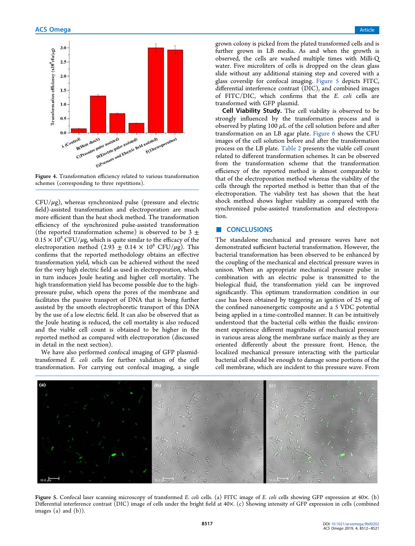

Figure 4. Transformation efficiency related to various transformation schemes (corresponding to three repetitions).

 $CFU/\mu$ g), whereas synchronized pulse (pressure and electric field)-assisted transformation and electroporation are much more efficient than the heat shock method. The transformation efficiency of the synchronized pulse-assisted transformation (the reported transformation scheme) is observed to be 3  $\pm$  $0.15 \times 10^8$  CFU/ $\mu$ g, which is quite similar to the efficacy of the electroporation method (2.93  $\pm$  0.14  $\times$  10<sup>8</sup> CFU/µg). This confirms that the reported methodology obtains an effective transformation yield, which can be achieved without the need for the very high electric field as used in electroporation, which in turn induces Joule heating and higher cell mortality. The high transformation yield has become possible due to the highpressure pulse, which opens the pores of the membrane and facilitates the passive transport of DNA that is being further assisted by the smooth electrophoretic transport of this DNA by the use of a low electric field. It can also be observed that as the Joule heating is reduced, the cell mortality is also reduced and the viable cell count is obtained to be higher in the reported method as compared with electroporation (discussed in detail in the next section).

We have also performed confocal imaging of GFP plasmidtransformed *E. coli* cells for further validation of the cell transformation. For carrying out confocal imaging, a single

grown colony is picked from the plated transformed cells and is further grown in LB media. As and when the growth is observed, the cells are washed multiple times with Milli-Q water. Five microliters of cells is dropped on the clean glass slide without any additional staining step and covered with a glass coverslip for confocal imaging. Figure 5 depicts FITC, differential interference contrast (DIC), and combined images of FITC/DIC, which confirms that the *E. coli* cells are transformed with GFP plasmid.

Cell Viability Study. The cell viability is observed to be strongly influenced by the transformation process and is observed by plating 100  $\mu$ L of the cell solution before and after transformation on an LB agar plate. Figure 6 shows the CFU images of the cell solution before and after the transformation process on the LB plate. Table 2 presents the viable cell count related to different transformation schemes. It can be observed from the transformation scheme that the transformation efficiency of the reported method is almost comparable to that of the electroporation method whereas the viability of the cells through the reported method is better than that of the electroporation. The viability test has shown that the heat shock method shows higher viability as compared with the synchronized pulse-assisted transformation and electroporation.

# ■ CONCLUSIONS

The standalone mechanical and pressure waves have not demonstrated sufficient bacterial transformation. However, the bacterial transformation has been observed to be enhanced by the coupling of the mechanical and electrical pressure waves in unison. When an appropriate mechanical pressure pulse in combination with an electric pulse is transmitted to the biological fluid, the transformation yield can be improved significantly. This optimum transformation condition in our case has been obtained by triggering an ignition of 25 mg of the confined nanoenergetic composite and a 5 VDC potential being applied in a time-controlled manner. It can be intuitively understood that the bacterial cells within the fluidic environment experience different magnitudes of mechanical pressure in various areas along the membrane surface mainly as they are oriented differently about the pressure front. Hence, the localized mechanical pressure interacting with the particular bacterial cell should be enough to damage some portions of the cell membrane, which are incident to this pressure wave. From



Figure 5. Confocal laser scanning microscopy of transformed *E. coli* cells. (a) FITC image of *E. coli* cells showing GFP expression at 40×. (b) Differential interference contrast (DIC) image of cells under the bright field at 40×. (c) Showing intensity of GFP expression in cells (combined images  $(a)$  and  $(b)$ ).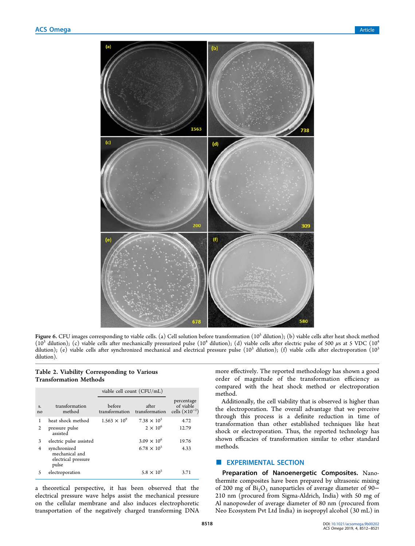

**Figure 6.** CFU images corresponding to viable cells. (a) Cell solution before transformation (10<sup>5</sup> dilution); (b) viable cells after heat shock method ( $10<sup>3</sup>$  dilution); (c) viable cells after mechanically pressurized pulse ( $10<sup>4</sup>$  dilution); (d) viable cells after electric pulse of 500  $\mu$ s at 5 VDC ( $10<sup>4</sup>$ dilution); (e) viable cells after synchronized mechanical and electrical pressure pulse (10<sup>3</sup> dilution); (f) viable cells after electroporation (10<sup>3</sup>) dilution).

# Table 2. Viability Corresponding to Various Transformation Methods

|          |                                                                | viable cell count (CFU/mL) |                         |                                                     |
|----------|----------------------------------------------------------------|----------------------------|-------------------------|-----------------------------------------------------|
| S.<br>no | transformation<br>method                                       | before<br>transformation   | after<br>transformation | percentage<br>of viable<br>cells $(\times 10^{-2})$ |
| 1        | heat shock method                                              | $1.563 \times 10^{9}$      | $7.38 \times 10^{5}$    | 4.72                                                |
| 2        | pressure pulse<br>assisted                                     |                            | $2 \times 10^6$         | 12.79                                               |
| 3        | electric pulse assisted                                        |                            | $3.09 \times 10^{6}$    | 19.76                                               |
| 4        | synchronized<br>mechanical and<br>electrical pressure<br>pulse |                            | $6.78 \times 10^{5}$    | 4.33                                                |
|          | electroporation                                                |                            | $5.8 \times 10^{5}$     | 3.71                                                |

a theoretical perspective, it has been observed that the electrical pressure wave helps assist the mechanical pressure on the cellular membrane and also induces electrophoretic transportation of the negatively charged transforming DNA more effectively. The reported methodology has shown a good order of magnitude of the transformation efficiency as compared with the heat shock method or electroporation method.

Additionally, the cell viability that is observed is higher than the electroporation. The overall advantage that we perceive through this process is a definite reduction in time of transformation than other established techniques like heat shock or electroporation. Thus, the reported technology has shown efficacies of transformation similar to other standard methods.

# **EXPERIMENTAL SECTION**

Preparation of Nanoenergetic Composites. Nanothermite composites have been prepared by ultrasonic mixing of 200 mg of Bi<sub>2</sub>O<sub>3</sub> nanoparticles of average diameter of 90− 210 nm (procured from Sigma-Aldrich, India) with 50 mg of Al nanopowder of average diameter of 80 nm (procured from Neo Ecosystem Pvt Ltd India) in isopropyl alcohol (30 mL) in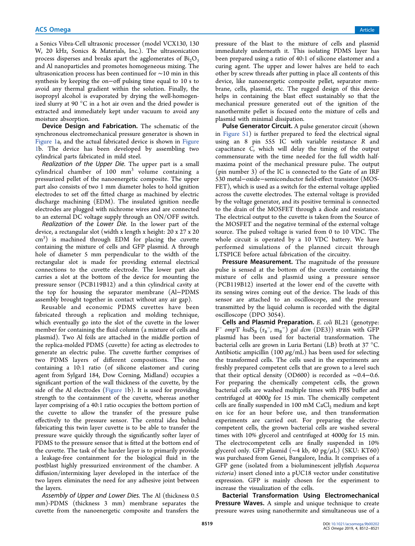a Sonics Vibra-Cell ultrasonic processor (model VCX130, 130 W, 20 kHz, Sonics & Materials, Inc.). The ultrasonication process disperses and breaks apart the agglomerates of  $Bi<sub>2</sub>O<sub>3</sub>$ and Al nanoparticles and promotes homogeneous mixing. The ultrasonication process has been continued for ∼10 min in this synthesis by keeping the on−off pulsing time equal to 10 s to avoid any thermal gradient within the solution. Finally, the isopropyl alcohol is evaporated by drying the well-homogenized slurry at 90 °C in a hot air oven and the dried powder is extracted and immediately kept under vacuum to avoid any moisture absorption.

Device Design and Fabrication. The schematic of the synchronous electromechanical pressure generator is shown in Figure 1a, and the actual fabricated device is shown in Figure 1b. The device has been developed by assembling two cylindrical parts fabricated in mild steel.

Realization of the Upper Die. The upper part is a small  $cylindrical$  chamber of  $100$   $mm<sup>3</sup>$  volume containing a pressurized pellet of the nanoenergetic composite. The upper part also consists of two 1 mm diameter holes to hold ignition electrodes to set off the fitted charge as machined by electric discharge machining (EDM). The insulated ignition needle electrodes are plugged with nichrome wires and are connected to an external DC voltage supply through an ON/OFF switch.

Realization of the Lower Die. In the lower part of the device, a rectangular slot (width x length x height: 20 x 27 x 20 cm<sup>3</sup> ) is machined through EDM for placing the cuvette containing the mixture of cells and GFP plasmid. A through hole of diameter 5 mm perpendicular to the width of the rectangular slot is made for providing external electrical connections to the cuvette electrode. The lower part also carries a slot at the bottom of the device for mounting the pressure sensor (PCB119B12) and a thin cylindrical cavity at the top for housing the separator membrane (Al−PDMS assembly brought together in contact without any air gap).

Reusable and economic PDMS cuvettes have been fabricated through a replication and molding technique, which eventually go into the slot of the cuvette in the lower member for containing the fluid column (a mixture of cells and plasmid). Two Al foils are attached in the middle portion of the replica-molded PDMS (cuvette) for acting as electrodes to generate an electric pulse. The cuvette further comprises of two PDMS layers of different compositions. The one containing a 10:1 ratio (of silicone elastomer and curing agent from Sylgard 184, Dow Corning, Midland) occupies a significant portion of the wall thickness of the cuvette, by the side of the Al electrodes (Figure 1b). It is used for providing strength to the containment of the cuvette, whereas another layer comprising of a 40:1 ratio occupies the bottom portion of the cuvette to allow the transfer of the pressure pulse effectively to the pressure sensor. The central idea behind fabricating this twin layer cuvette is to be able to transfer the pressure wave quickly through the significantly softer layer of PDMS to the pressure sensor that is fitted at the bottom end of the cuvette. The task of the harder layer is to primarily provide a leakage-free containment for the biological fluid in the postblast highly pressurized environment of the chamber. A diffusion/intermixing layer developed in the interface of the two layers eliminates the need for any adhesive joint between the layers.

Assembly of Upper and Lower Dies. The Al (thickness 0.5 mm)-PDMS (thickness 3 mm) membrane separates the cuvette from the nanoenergetic composite and transfers the

pressure of the blast to the mixture of cells and plasmid immediately underneath it. This isolating PDMS layer has been prepared using a ratio of 40:1 of silicone elastomer and a curing agent. The upper and lower halves are held to each other by screw threads after putting in place all contents of this device, like nanoenergetic composite pellet, separator membrane, cells, plasmid, etc. The rugged design of this device helps in containing the blast effect sustainably so that the mechanical pressure generated out of the ignition of the nanothermite pellet is focused onto the mixture of cells and plasmid with minimal dissipation.

Pulse Generator Circuit. A pulse generator circuit (shown in Figure S1) is further prepared to feed the electrical signal using an 8 pin 555 IC with variable resistance *R* and capacitance *C*, which will delay the timing of the output commensurate with the time needed for the full width halfmaxima point of the mechanical pressure pulse. The output (pin number 3) of the IC is connected to the Gate of an IRF 530 metal−oxide−semiconductor field-effect transistor (MOS-FET), which is used as a switch for the external voltage applied across the cuvette electrodes. The external voltage is provided by the voltage generator, and its positive terminal is connected to the drain of the MOSFET through a diode and resistance. The electrical output to the cuvette is taken from the Source of the MOSFET and the negative terminal of the external voltage source. The pulsed voltage is varied from 0 to 10 VDC. The whole circuit is operated by a 10 VDC battery. We have performed simulations of the planned circuit through LTSPICE before actual fabrication of the circuitry.

Pressure Measurement. The magnitude of the pressure pulse is sensed at the bottom of the cuvette containing the mixture of cells and plasmid using a pressure sensor (PCB119B12) inserted at the lower end of the cuvette with its sensing wires coming out of the device. The leads of this sensor are attached to an oscilloscope, and the pressure transmitted by the liquid column is recorded with the digital oscilloscope (DPO 3054).

Cells and Plasmid Preparation. *E. coli* BL21 (genotype: F<sup>−</sup> omp<sup>T</sup> hsdS<sub>B</sub> (r<sub>B</sub><sup>−</sup>, m<sub>B</sub><sup>−</sup>) gal dcm (DE3)) strain with GFP plasmid has been used for bacterial transformation. The bacterial cells are grown in Luria Bertani (LB) broth at 37 °C. Antibiotic ampicillin (100  $\mu$ g/mL) has been used for selecting the transformed cells. The cells used in the experiments are freshly prepared competent cells that are grown to a level such that their optical density (OD600) is recorded as ∼0.4−0.6. For preparing the chemically competent cells, the grown bacterial cells are washed multiple times with PBS buffer and centrifuged at 4000*g* for 15 min. The chemically competent cells are finally suspended in 100 mM  $CaCl<sub>2</sub>$  medium and kept on ice for an hour before use, and then transformation experiments are carried out. For preparing the electrocompetent cells, the grown bacterial cells are washed several times with 10% glycerol and centrifuged at 4000*g* for 15 min. The electrocompetent cells are finally suspended in 10% glycerol only. GFP plasmid (∼4 kb, 40 pg/ $\mu$ L) (SKU: KT60) was purchased from Genei, Bangalore, India. It comprises of a GFP gene (isolated from a bioluminescent jellyfish *Aequorea victoria*) insert cloned into a pUC18 vector under constitutive expression. GFP is mainly chosen for the experiment to increase the visualization of the cells.

Bacterial Transformation Using Electromechanical Pressure Waves. A simple and unique technique to create pressure waves using nanothermite and simultaneous use of a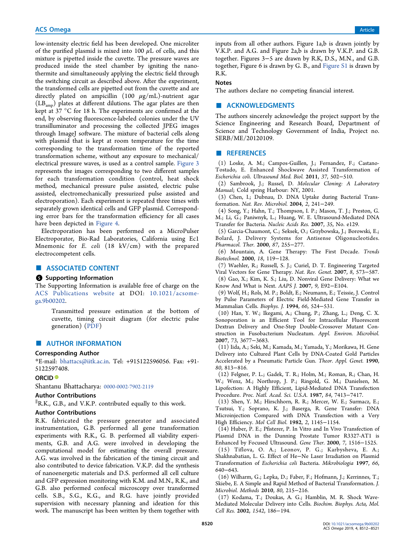low-intensity electric field has been developed. One microliter of the purified plasmid is mixed into 100  $\mu$ L of cells, and this mixture is pipetted inside the cuvette. The pressure waves are produced inside the steel chamber by igniting the nanothermite and simultaneously applying the electric field through the switching circuit as described above. After the experiment, the transformed cells are pipetted out from the cuvette and are directly plated on ampicillin (100  $\mu$ g/mL)-nutrient agar (LBamp) plates at different dilutions. The agar plates are then kept at 37 °C for 18 h. The experiments are confirmed at the end, by observing fluorescence-labeled colonies under the UV transilluminator and processing the collected JPEG images through ImageJ software. The mixture of bacterial cells along with plasmid that is kept at room temperature for the time corresponding to the transformation time of the reported transformation scheme, without any exposure to mechanical/ electrical pressure waves, is used as a control sample. Figure 3 represents the images corresponding to two different samples for each transformation condition (control, heat shock method, mechanical pressure pulse assisted, electric pulse assisted, electromechanically pressurized pulse assisted and electroporation). Each experiment is repeated three times with separately grown identical cells and GFP plasmid. Corresponding error bars for the transformation efficiency for all cases have been depicted in Figure 4.

Electroporation has been performed on a MicroPulser Electroporator, Bio-Rad Laboratories, California using Ec1 Mnemonic for *E. coli* (18 kV/cm) with the prepared electrocompetent cells.

# ■ ASSOCIATED CONTENT

#### **S** Supporting Information

The Supporting Information is available free of charge on the ACS Publications website at DOI: 10.1021/acsomega.9b00202.

> Transmitted pressure estimation at the bottom of cuvette, timing circuit diagram (for electric pulse generation) (PDF)

# ■ AUTHOR INFORMATION

#### Corresponding Author

\*E-mail: bhattacs@iitk.ac.in. Tel: +915122596056. Fax: +91- 5122597408.

#### ORCID<sup>®</sup>

Shantanu Bhattacharya: 0000-0002-7902-2119

# Author Contributions

∥ R.K., G.B., and V.K.P. contributed equally to this work.

# Author Contributions

R.K. fabricated the pressure generator and associated instrumentation, G.B. performed all gene transformation experiments with R.K., G. B. performed all viability experiments, G.B. and A.G. were involved in developing the computational model for estimating the overall pressure. A.G. was involved in the fabrication of the timing circuit and also contributed to device fabrication. V.K.P. did the synthesis of nanoenergetic materials and D.S. performed all cell culture and GFP expression monitoring with K.M. and M.N., R.K., and G.B. also performed confocal microscopy over transformed cells. S.B., S.G., K.G., and R.G. have jointly provided supervision with necessary planning and ideation for this work. The manuscript has been written by them together with

inputs from all other authors. Figure 1a,b is drawn jointly by V.K.P. and A.G. and Figure 2a,b is drawn by V.K.P. and G.B. together. Figures 3−5 are drawn by R.K, D.S., M.N., and G.B. together, Figure 6 is drawn by G. B., and Figure S1 is drawn by R.K.

#### **Notes**

The authors declare no competing financial interest.

### ■ ACKNOWLEDGMENTS

The authors sincerely acknowledge the project support by the Science Engineering and Research Board, Department of Science and Technology Government of India, Project no. SERB/ME/20120109.

#### ■ REFERENCES

(1) Loske, A. M.; Campos-Guillen, J.; Fernandez, F.; Castano-Tostado, E. Enhanced Shockwave Assisted Transformation of *Escherichia coli*. *Ultrasound Med. Biol.* 2011, *37*, 502−510.

(2) Sambrook, J.; Russel, D. *Molecular Cloning: A Laboratory Manual*; Cold spring Harbour: NY, 2001.

(3) Chen, I.; Dubnau, D. DNA Uptake during Bacterial Transformation. *Nat. Rev. Microbiol.* 2004, *2*, 241−249.

(4) Song, Y.; Hahn, T.; Thompson, I. P.; Mason, T. J.; Preston, G. M.; Li, G.; Paniwnyk, L.; Huang, W. E. Ultrasound-Mediated DNA Transfer for Bacteria. *Nucleic Acids Res.* 2007, *35*, No. e129.

(5) Garcia-Chaumont, C.; Seksek, O.; Grzybowska, J.; Borowski, E.; Bolard, J. Delivery Systems for Antisense Oligonucleotides. *Pharmacol. Ther.* 2000, *87*, 255−277.

(6) Mountain, A. Gene Therapy: The First Decade. *Trends Biotechnol.* 2000, *18*, 119−128.

(7) Waehler, R.; Russell, S. J.; Curiel, D. T. Engineering Targeted Viral Vectors for Gene Therapy. *Nat. Rev. Genet.* 2007, *8*, 573−587.

(8) Gao, X.; Kim, K. S.; Liu, D. Nonviral Gene Delivery: What we Know And What is Next. *AAPS J.* 2007, *9*, E92−E104.

(9) Wolf, H.; Rols, M. P.; Boldt, E.; Neumann, E.; Teissie, J. Control by Pulse Parameters of Electric Field-Mediated Gene Transfer in Mammalian Cells. *Biophys. J.* 1994, *66*, 524−531.

(10) Han, Y. W.; Ikegami, A.; Chung, P.; Zhang, L.; Deng, C. X. Sonoporation is an Efficient Tool for Intracellular Fluorescent Dextran Delivery and One-Step Double-Crossover Mutant Construction in Fusobacterium Nucleatum. *Appl. Environ. Microbiol.* 2007, *73*, 3677−3683.

(11) Iida, A.; Seki, M.; Kamada, M.; Yamada, Y.; Morikawa, H. Gene Delivery into Cultured Plant Cells by DNA-Coated Gold Particles Accelerated by a Pneumatic Particle Gun. *Theor. Appl. Genet.* 1990, *80*, 813−816.

(12) Felgner, P. L.; Gadek, T. R.; Holm, M.; Roman, R.; Chan, H. W.; Wenz, M.; Northrop, J. P.; Ringold, G. M.; Danielsen, M. Lipofection: A Highly Efficient, Lipid-Mediated DNA Transfection Procedure. *Proc. Natl. Acad. Sci. U.S.A.* 1987, *84*, 7413−7417.

(13) Shen, Y. M.; Hirschhorn, R. R.; Mercer, W. E.; Surmacz, E.; Tsutsui, Y.; Soprano, K. J.; Baserga, R. Gene Transfer: DNA Microinjection Compared with DNA Transfection with a Very High Efficiency. *Mol Cell Biol.* 1982, *2*, 1145−1154.

(14) Huber, P. E.; Pfisterer, P. In Vitro and In Vivo Transfection of Plasmid DNA in the Dunning Prostate Tumor R3327-AT1 is Enhanced by Focused Ultrasound. *Gene Ther.* 2000, *7*, 1516−1525.

(15) Tiflova, O. A.; Leonov, P. G.; Karbysheva, E. A.; Shakhnabatian, L. G. Effect of He−Ne Laser Irradiation on Plasmid Transformation of *Escherichia coli* Bacteria. *Mikrobiologia* 1997, *66*, 640−643.

(16) Wilharm, G.; Lepka, D.; Faber, F.; Hofmann, J.; Kerrinnes, T.; Skiebe, E. A Simple and Rapid Method of Bacterial Transformation. *J. Microbiol. Methods* 2010, *80*, 215−216.

(17) Kodama, T.; Doukas, A. G.; Hamblin, M. R. Shock Wave-Mediated Molecular Delivery into Cells. *Biochim. Biophys. Acta, Mol. Cell Res.* 2002, *1542*, 186−194.